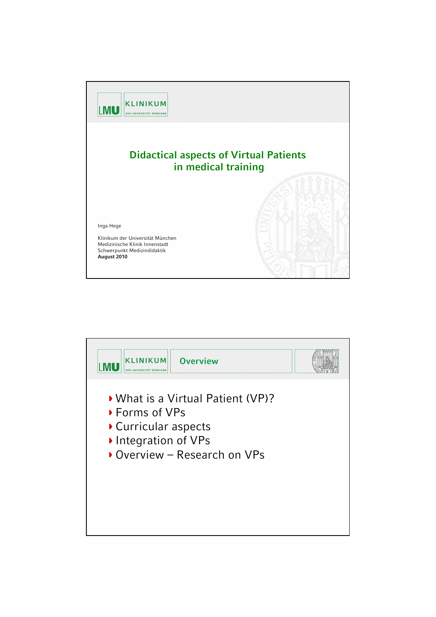

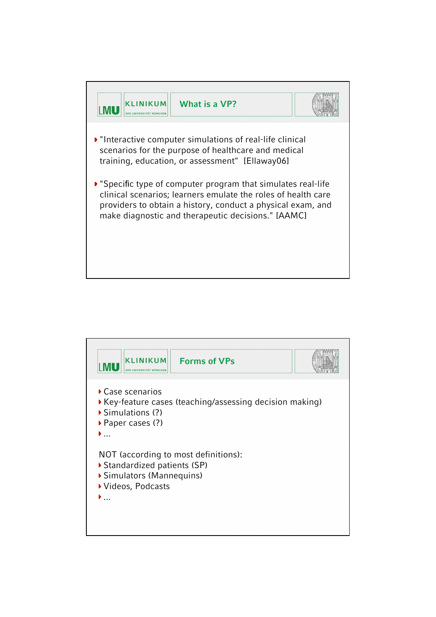

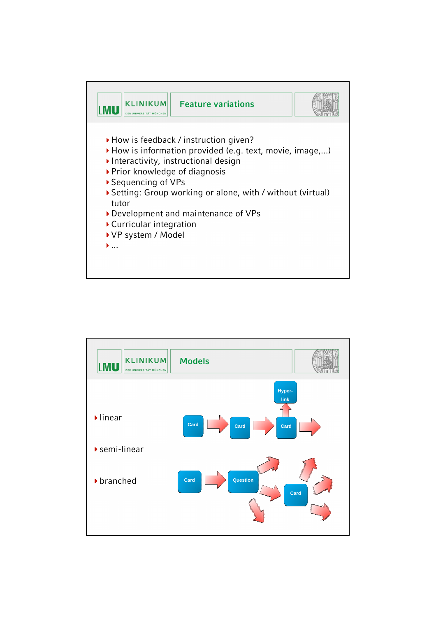

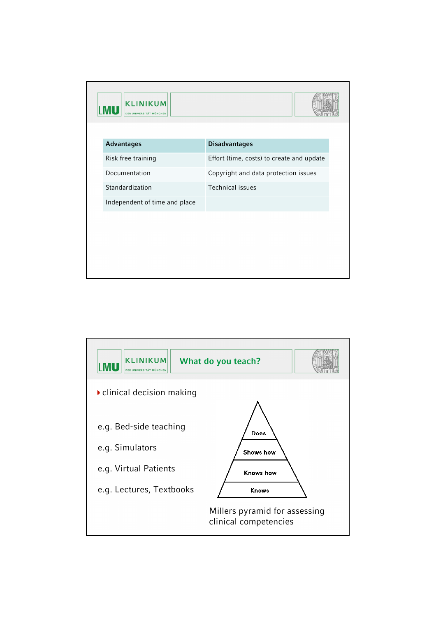| <b>KLINIKUM</b><br><b>LMU</b><br>DER UNIVERSITÄT MÜNCHEN |                                           |
|----------------------------------------------------------|-------------------------------------------|
| <b>Advantages</b>                                        | <b>Disadvantages</b>                      |
| Risk free training                                       | Effort (time, costs) to create and update |
| Documentation                                            | Copyright and data protection issues      |
| Standardization                                          | <b>Technical issues</b>                   |
| Independent of time and place                            |                                           |
|                                                          |                                           |
|                                                          |                                           |
|                                                          |                                           |
|                                                          |                                           |

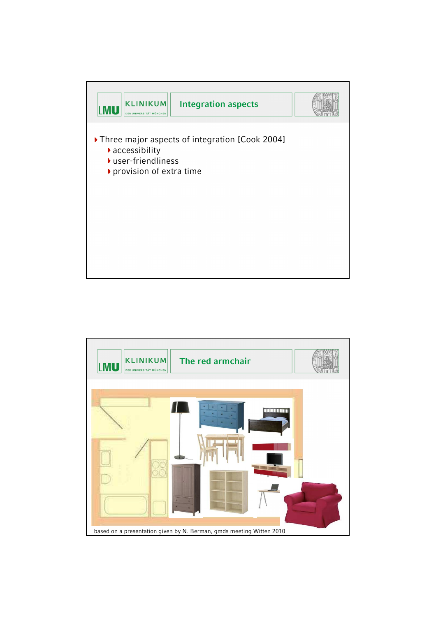

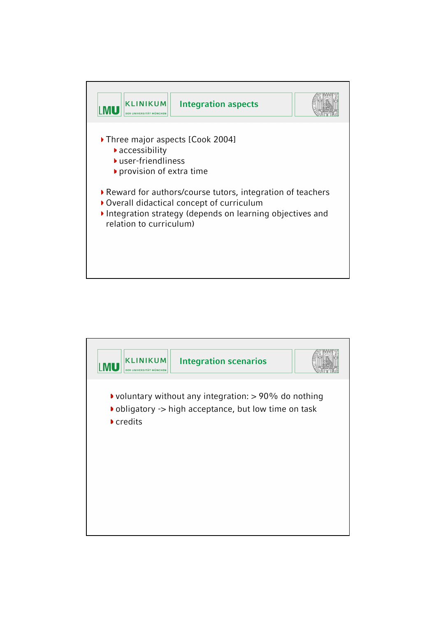

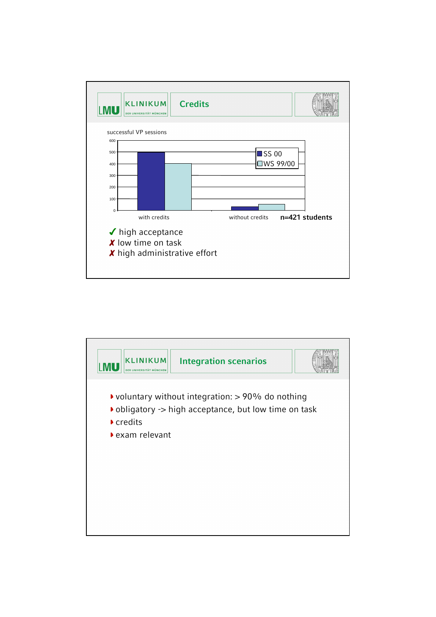

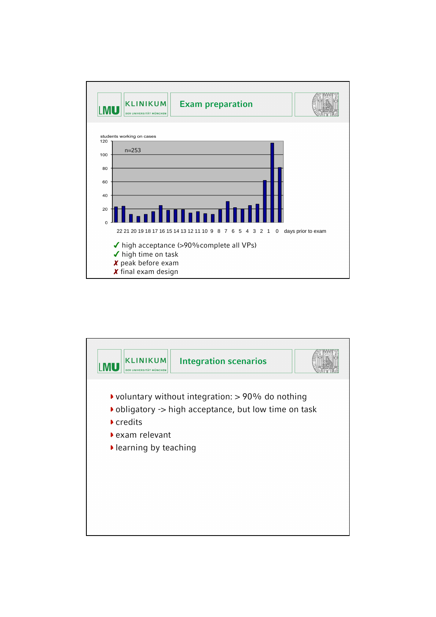

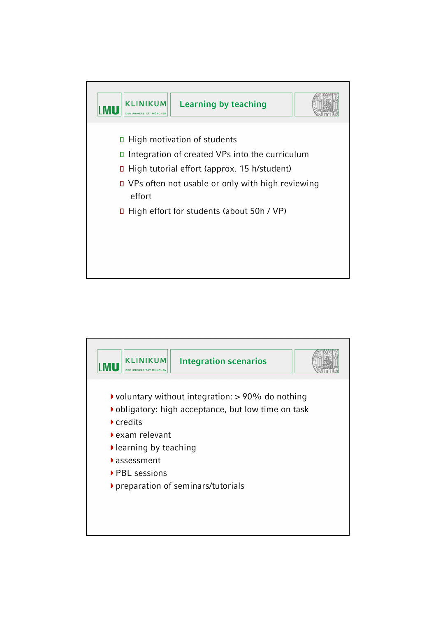

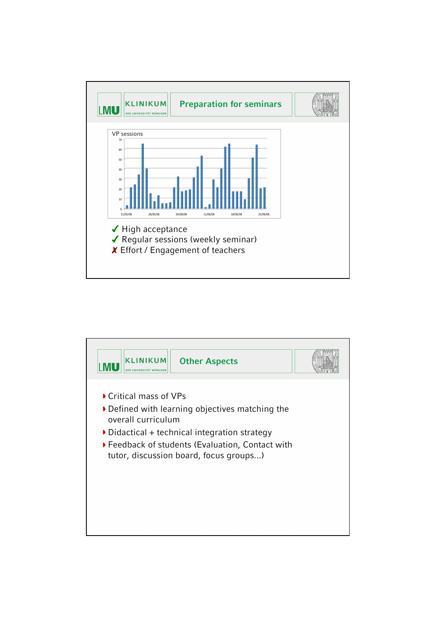